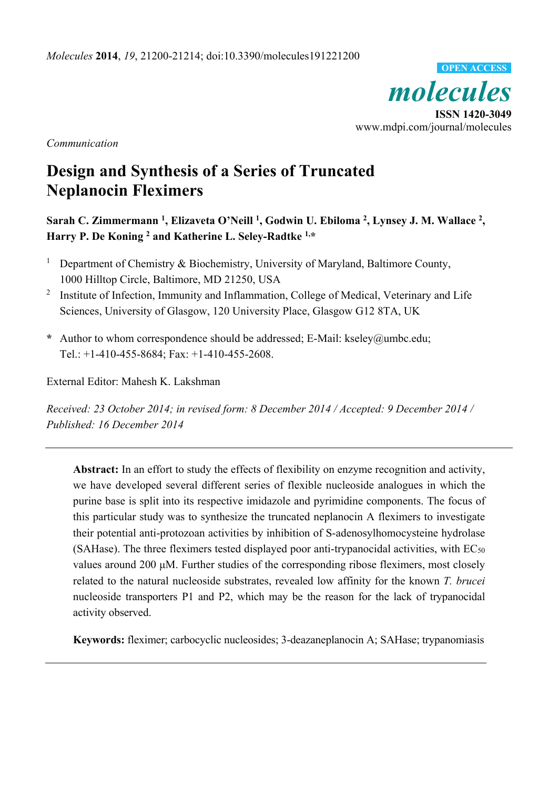

*Communication* 

# **Design and Synthesis of a Series of Truncated Neplanocin Fleximers**

**Sarah C. Zimmermann 1, Elizaveta O'Neill 1, Godwin U. Ebiloma 2, Lynsey J. M. Wallace 2, Harry P. De Koning 2 and Katherine L. Seley-Radtke 1,\*** 

- 1 Department of Chemistry & Biochemistry, University of Maryland, Baltimore County, 1000 Hilltop Circle, Baltimore, MD 21250, USA
- 2 Institute of Infection, Immunity and Inflammation, College of Medical, Veterinary and Life Sciences, University of Glasgow, 120 University Place, Glasgow G12 8TA, UK
- **\*** Author to whom correspondence should be addressed; E-Mail: kseley@umbc.edu; Tel.:  $+1-410-455-8684$ : Fax:  $+1-410-455-2608$ .

External Editor: Mahesh K. Lakshman

*Received: 23 October 2014; in revised form: 8 December 2014 / Accepted: 9 December 2014 / Published: 16 December 2014* 

**Abstract:** In an effort to study the effects of flexibility on enzyme recognition and activity, we have developed several different series of flexible nucleoside analogues in which the purine base is split into its respective imidazole and pyrimidine components. The focus of this particular study was to synthesize the truncated neplanocin A fleximers to investigate their potential anti-protozoan activities by inhibition of S-adenosylhomocysteine hydrolase (SAHase). The three fleximers tested displayed poor anti-trypanocidal activities, with EC50 values around 200 μM. Further studies of the corresponding ribose fleximers, most closely related to the natural nucleoside substrates, revealed low affinity for the known *T. brucei* nucleoside transporters P1 and P2, which may be the reason for the lack of trypanocidal activity observed.

**Keywords:** fleximer; carbocyclic nucleosides; 3-deazaneplanocin A; SAHase; trypanomiasis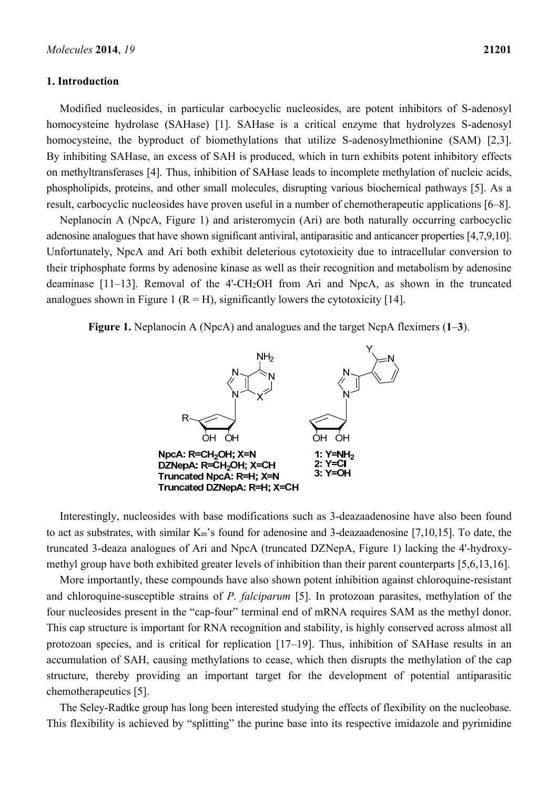## **1. Introduction**

Modified nucleosides, in particular carbocyclic nucleosides, are potent inhibitors of S-adenosyl homocysteine hydrolase (SAHase) [1]. SAHase is a critical enzyme that hydrolyzes S-adenosyl homocysteine, the byproduct of biomethylations that utilize S-adenosylmethionine (SAM) [2,3]. By inhibiting SAHase, an excess of SAH is produced, which in turn exhibits potent inhibitory effects on methyltransferases [4]. Thus, inhibition of SAHase leads to incomplete methylation of nucleic acids, phospholipids, proteins, and other small molecules, disrupting various biochemical pathways [5]. As a result, carbocyclic nucleosides have proven useful in a number of chemotherapeutic applications [6–8].

Neplanocin A (NpcA, Figure 1) and aristeromycin (Ari) are both naturally occurring carbocyclic adenosine analogues that have shown significant antiviral, antiparasitic and anticancer properties [4,7,9,10]. Unfortunately, NpcA and Ari both exhibit deleterious cytotoxicity due to intracellular conversion to their triphosphate forms by adenosine kinase as well as their recognition and metabolism by adenosine deaminase  $[11-13]$ . Removal of the 4'-CH<sub>2</sub>OH from Ari and NpcA, as shown in the truncated analogues shown in Figure 1 ( $R = H$ ), significantly lowers the cytotoxicity [14].

**Figure 1.** Neplanocin A (NpcA) and analogues and the target NcpA fleximers (**1**–**3**).



Interestingly, nucleosides with base modifications such as 3-deazaadenosine have also been found to act as substrates, with similar Km's found for adenosine and 3-deazaadenosine [7,10,15]. To date, the truncated 3-deaza analogues of Ari and NpcA (truncated DZNepA, Figure 1) lacking the 4'-hydroxymethyl group have both exhibited greater levels of inhibition than their parent counterparts [5,6,13,16].

More importantly, these compounds have also shown potent inhibition against chloroquine-resistant and chloroquine-susceptible strains of *P. falciparum* [5]. In protozoan parasites, methylation of the four nucleosides present in the "cap-four" terminal end of mRNA requires SAM as the methyl donor. This cap structure is important for RNA recognition and stability, is highly conserved across almost all protozoan species, and is critical for replication [17–19]. Thus, inhibition of SAHase results in an accumulation of SAH, causing methylations to cease, which then disrupts the methylation of the cap structure, thereby providing an important target for the development of potential antiparasitic chemotherapeutics [5].

The Seley-Radtke group has long been interested studying the effects of flexibility on the nucleobase. This flexibility is achieved by "splitting" the purine base into its respective imidazole and pyrimidine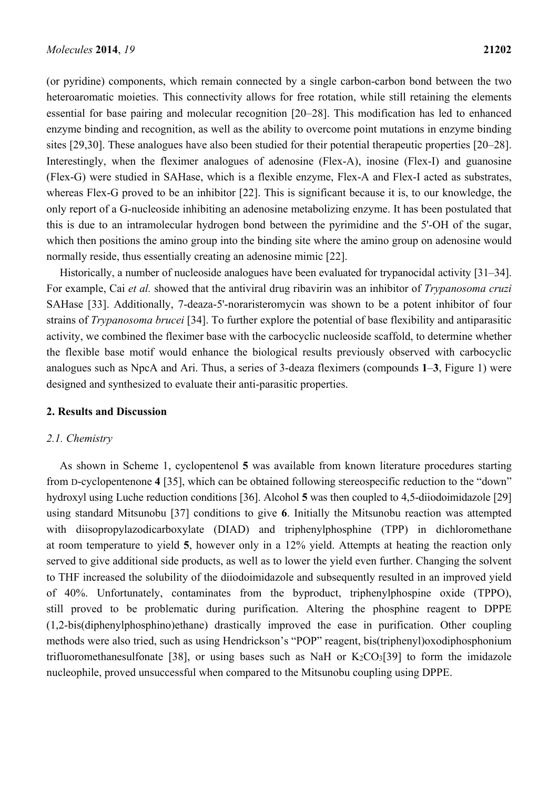(or pyridine) components, which remain connected by a single carbon-carbon bond between the two heteroaromatic moieties. This connectivity allows for free rotation, while still retaining the elements essential for base pairing and molecular recognition [20–28]. This modification has led to enhanced enzyme binding and recognition, as well as the ability to overcome point mutations in enzyme binding sites [29,30]. These analogues have also been studied for their potential therapeutic properties [20–28]. Interestingly, when the fleximer analogues of adenosine (Flex-A), inosine (Flex-I) and guanosine (Flex-G) were studied in SAHase, which is a flexible enzyme, Flex-A and Flex-I acted as substrates, whereas Flex-G proved to be an inhibitor [22]. This is significant because it is, to our knowledge, the only report of a G-nucleoside inhibiting an adenosine metabolizing enzyme. It has been postulated that this is due to an intramolecular hydrogen bond between the pyrimidine and the 5'-OH of the sugar, which then positions the amino group into the binding site where the amino group on adenosine would normally reside, thus essentially creating an adenosine mimic [22].

Historically, a number of nucleoside analogues have been evaluated for trypanocidal activity [31–34]. For example, Cai *et al.* showed that the antiviral drug ribavirin was an inhibitor of *Trypanosoma cruzi* SAHase [33]. Additionally, 7-deaza-5'-noraristeromycin was shown to be a potent inhibitor of four strains of *Trypanosoma brucei* [34]. To further explore the potential of base flexibility and antiparasitic activity, we combined the fleximer base with the carbocyclic nucleoside scaffold, to determine whether the flexible base motif would enhance the biological results previously observed with carbocyclic analogues such as NpcA and Ari. Thus, a series of 3-deaza fleximers (compounds **1**–**3**, Figure 1) were designed and synthesized to evaluate their anti-parasitic properties.

#### **2. Results and Discussion**

#### *2.1. Chemistry*

As shown in Scheme 1, cyclopentenol **5** was available from known literature procedures starting from D-cyclopentenone **4** [35], which can be obtained following stereospecific reduction to the "down" hydroxyl using Luche reduction conditions [36]. Alcohol **5** was then coupled to 4,5-diiodoimidazole [29] using standard Mitsunobu [37] conditions to give **6**. Initially the Mitsunobu reaction was attempted with diisopropylazodicarboxylate (DIAD) and triphenylphosphine (TPP) in dichloromethane at room temperature to yield **5**, however only in a 12% yield. Attempts at heating the reaction only served to give additional side products, as well as to lower the yield even further. Changing the solvent to THF increased the solubility of the diiodoimidazole and subsequently resulted in an improved yield of 40%. Unfortunately, contaminates from the byproduct, triphenylphospine oxide (TPPO), still proved to be problematic during purification. Altering the phosphine reagent to DPPE (1,2-bis(diphenylphosphino)ethane) drastically improved the ease in purification. Other coupling methods were also tried, such as using Hendrickson's "POP" reagent, bis(triphenyl)oxodiphosphonium trifluoromethanesulfonate [38], or using bases such as NaH or  $K_2CO_3[39]$  to form the imidazole nucleophile, proved unsuccessful when compared to the Mitsunobu coupling using DPPE.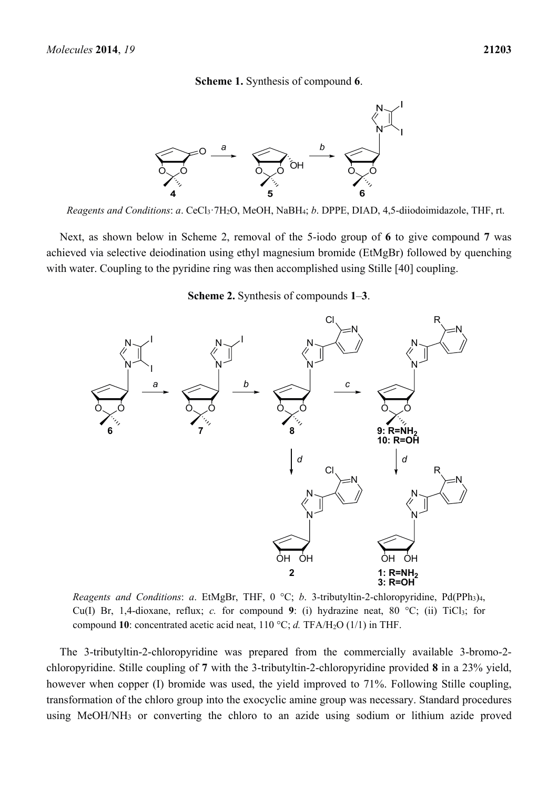**Scheme 1.** Synthesis of compound **6**.



*Reagents and Conditions: a. CeCl3*·7H<sub>2</sub>O, MeOH, NaBH<sub>4</sub>; *b. DPPE, DIAD*, 4,5-diiodoimidazole, THF, rt.

Next, as shown below in Scheme 2, removal of the 5-iodo group of **6** to give compound **7** was achieved via selective deiodination using ethyl magnesium bromide (EtMgBr) followed by quenching with water. Coupling to the pyridine ring was then accomplished using Stille [40] coupling.

**Scheme 2.** Synthesis of compounds **1**–**3**.



*Reagents and Conditions*: *a*. EtMgBr, THF, 0 °C; *b*. 3-tributyltin-2-chloropyridine, Pd(PPh3)4, Cu(I) Br, 1,4-dioxane, reflux; *c.* for compound 9: (i) hydrazine neat, 80 °C; (ii) TiCl<sub>3</sub>; for compound 10: concentrated acetic acid neat, 110 °C; *d.* TFA/H<sub>2</sub>O (1/1) in THF.

The 3-tributyltin-2-chloropyridine was prepared from the commercially available 3-bromo-2 chloropyridine. Stille coupling of **7** with the 3-tributyltin-2-chloropyridine provided **8** in a 23% yield, however when copper (I) bromide was used, the yield improved to 71%. Following Stille coupling, transformation of the chloro group into the exocyclic amine group was necessary. Standard procedures using MeOH/NH3 or converting the chloro to an azide using sodium or lithium azide proved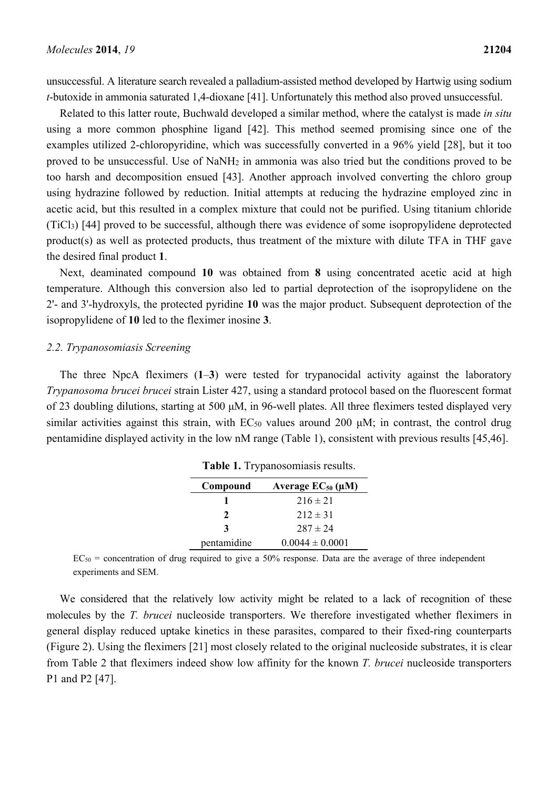unsuccessful. A literature search revealed a palladium-assisted method developed by Hartwig using sodium *t*-butoxide in ammonia saturated 1,4-dioxane [41]. Unfortunately this method also proved unsuccessful.

Related to this latter route, Buchwald developed a similar method, where the catalyst is made *in situ*  using a more common phosphine ligand [42]. This method seemed promising since one of the examples utilized 2-chloropyridine, which was successfully converted in a 96% yield [28], but it too proved to be unsuccessful. Use of NaNH2 in ammonia was also tried but the conditions proved to be too harsh and decomposition ensued [43]. Another approach involved converting the chloro group using hydrazine followed by reduction. Initial attempts at reducing the hydrazine employed zinc in acetic acid, but this resulted in a complex mixture that could not be purified. Using titanium chloride (TiCl3) [44] proved to be successful, although there was evidence of some isopropylidene deprotected product(s) as well as protected products, thus treatment of the mixture with dilute TFA in THF gave the desired final product **1**.

Next, deaminated compound **10** was obtained from **8** using concentrated acetic acid at high temperature. Although this conversion also led to partial deprotection of the isopropylidene on the 2'- and 3'-hydroxyls, the protected pyridine **10** was the major product. Subsequent deprotection of the isopropylidene of **10** led to the fleximer inosine **3**.

## *2.2. Trypanosomiasis Screening*

The three NpcA fleximers (**1**–**3**) were tested for trypanocidal activity against the laboratory *Trypanosoma brucei brucei* strain Lister 427, using a standard protocol based on the fluorescent format of 23 doubling dilutions, starting at 500 μM, in 96-well plates. All three fleximers tested displayed very similar activities against this strain, with  $EC_{50}$  values around 200  $\mu$ M; in contrast, the control drug pentamidine displayed activity in the low nM range (Table 1), consistent with previous results [45,46].

| Compound    | Average $EC_{50} (\mu M)$ |
|-------------|---------------------------|
|             | $216 \pm 21$              |
| 2           | $212 \pm 31$              |
| 3           | $287 \pm 24$              |
| pentamidine | $0.0044 \pm 0.0001$       |

**Table 1.** Trypanosomiasis results.

 $EC_{50}$  = concentration of drug required to give a 50% response. Data are the average of three independent experiments and SEM.

We considered that the relatively low activity might be related to a lack of recognition of these molecules by the *T. brucei* nucleoside transporters. We therefore investigated whether fleximers in general display reduced uptake kinetics in these parasites, compared to their fixed-ring counterparts (Figure 2). Using the fleximers [21] most closely related to the original nucleoside substrates, it is clear from Table 2 that fleximers indeed show low affinity for the known *T. brucei* nucleoside transporters P1 and P2 [47].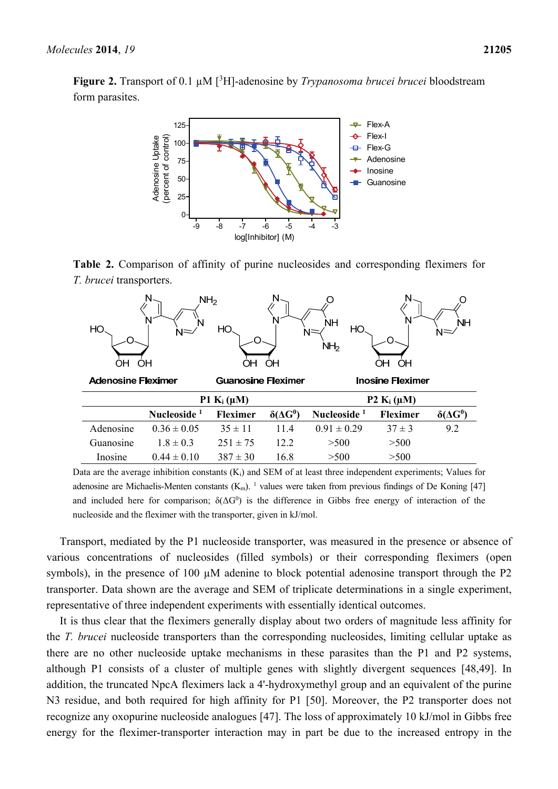**Figure 2.** Transport of 0.1 μM [<sup>3</sup>H]-adenosine by *Trypanosoma brucei brucei* bloodstream form parasites.



**Table 2.** Comparison of affinity of purine nucleosides and corresponding fleximers for *T. brucei* transporters.



Data are the average inhibition constants  $(K<sub>i</sub>)$  and SEM of at least three independent experiments; Values for adenosine are Michaelis-Menten constants  $(K_m)$ . <sup>1</sup> values were taken from previous findings of De Koning [47] and included here for comparison;  $\delta(\Delta G^0)$  is the difference in Gibbs free energy of interaction of the nucleoside and the fleximer with the transporter, given in kJ/mol.

Transport, mediated by the P1 nucleoside transporter, was measured in the presence or absence of various concentrations of nucleosides (filled symbols) or their corresponding fleximers (open symbols), in the presence of 100  $\mu$ M adenine to block potential adenosine transport through the P2 transporter. Data shown are the average and SEM of triplicate determinations in a single experiment, representative of three independent experiments with essentially identical outcomes.

It is thus clear that the fleximers generally display about two orders of magnitude less affinity for the *T. brucei* nucleoside transporters than the corresponding nucleosides, limiting cellular uptake as there are no other nucleoside uptake mechanisms in these parasites than the P1 and P2 systems, although P1 consists of a cluster of multiple genes with slightly divergent sequences [48,49]. In addition, the truncated NpcA fleximers lack a 4'-hydroxymethyl group and an equivalent of the purine N3 residue, and both required for high affinity for P1 [50]. Moreover, the P2 transporter does not recognize any oxopurine nucleoside analogues [47]. The loss of approximately 10 kJ/mol in Gibbs free energy for the fleximer-transporter interaction may in part be due to the increased entropy in the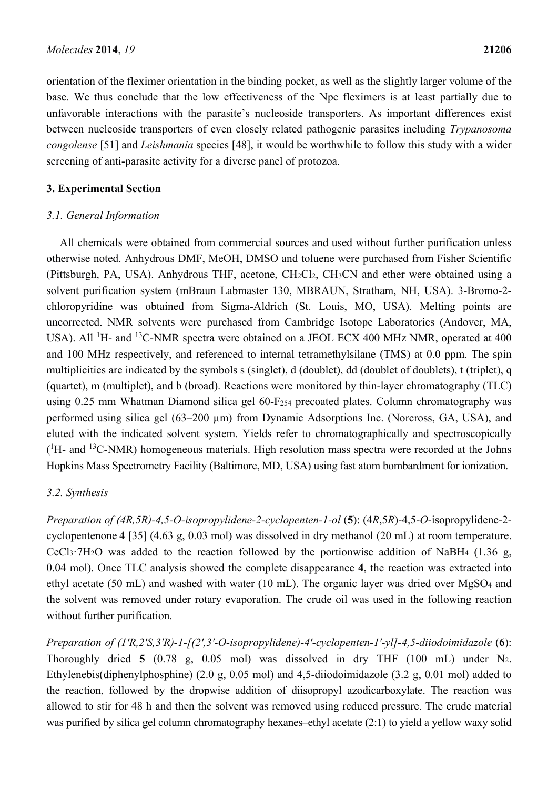orientation of the fleximer orientation in the binding pocket, as well as the slightly larger volume of the base. We thus conclude that the low effectiveness of the Npc fleximers is at least partially due to unfavorable interactions with the parasite's nucleoside transporters. As important differences exist between nucleoside transporters of even closely related pathogenic parasites including *Trypanosoma congolense* [51] and *Leishmania* species [48], it would be worthwhile to follow this study with a wider screening of anti-parasite activity for a diverse panel of protozoa.

# **3. Experimental Section**

# *3.1. General Information*

All chemicals were obtained from commercial sources and used without further purification unless otherwise noted. Anhydrous DMF, MeOH, DMSO and toluene were purchased from Fisher Scientific (Pittsburgh, PA, USA). Anhydrous THF, acetone, CH2Cl2, CH3CN and ether were obtained using a solvent purification system (mBraun Labmaster 130, MBRAUN, Stratham, NH, USA). 3-Bromo-2 chloropyridine was obtained from Sigma-Aldrich (St. Louis, MO, USA). Melting points are uncorrected. NMR solvents were purchased from Cambridge Isotope Laboratories (Andover, MA, USA). All <sup>1</sup>H- and <sup>13</sup>C-NMR spectra were obtained on a JEOL ECX 400 MHz NMR, operated at 400 and 100 MHz respectively, and referenced to internal tetramethylsilane (TMS) at 0.0 ppm. The spin multiplicities are indicated by the symbols s (singlet), d (doublet), dd (doublet of doublets), t (triplet), q (quartet), m (multiplet), and b (broad). Reactions were monitored by thin-layer chromatography (TLC) using 0.25 mm Whatman Diamond silica gel 60-F<sub>254</sub> precoated plates. Column chromatography was performed using silica gel (63–200 µm) from Dynamic Adsorptions Inc. (Norcross, GA, USA), and eluted with the indicated solvent system. Yields refer to chromatographically and spectroscopically  $(^1H-$  and <sup>13</sup>C-NMR) homogeneous materials. High resolution mass spectra were recorded at the Johns Hopkins Mass Spectrometry Facility (Baltimore, MD, USA) using fast atom bombardment for ionization.

# *3.2. Synthesis*

*Preparation of (4R,5R)-4,5-O-isopropylidene-2-cyclopenten-1-ol* (**5**): (4*R*,5*R*)-4,5-*O*-isopropylidene-2 cyclopentenone **4** [35] (4.63 g, 0.03 mol) was dissolved in dry methanol (20 mL) at room temperature. CeCl<sub>3</sub>·7H<sub>2</sub>O was added to the reaction followed by the portionwise addition of NaBH<sub>4</sub> (1.36 g, 0.04 mol). Once TLC analysis showed the complete disappearance **4**, the reaction was extracted into ethyl acetate (50 mL) and washed with water (10 mL). The organic layer was dried over MgSO4 and the solvent was removed under rotary evaporation. The crude oil was used in the following reaction without further purification.

*Preparation of (1′R,2′S,3′R)-1-[(2′,3′-O-isopropylidene)-4′-cyclopenten-1′-yl]-4,5-diiodoimidazole* (**6**): Thoroughly dried **5** (0.78 g, 0.05 mol) was dissolved in dry THF (100 mL) under N2. Ethylenebis(diphenylphosphine) (2.0 g, 0.05 mol) and 4,5-diiodoimidazole (3.2 g, 0.01 mol) added to the reaction, followed by the dropwise addition of diisopropyl azodicarboxylate. The reaction was allowed to stir for 48 h and then the solvent was removed using reduced pressure. The crude material was purified by silica gel column chromatography hexanes–ethyl acetate (2:1) to yield a yellow waxy solid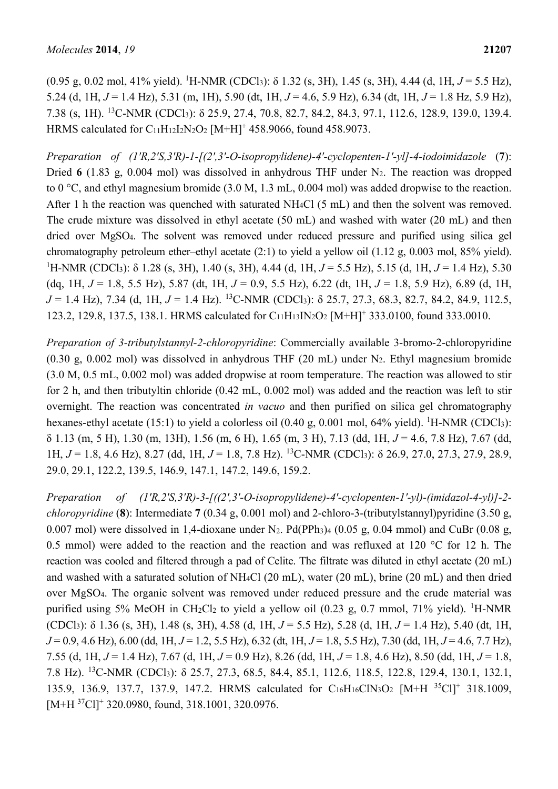(0.95 g, 0.02 mol, 41% yield). <sup>1</sup> H-NMR (CDCl3): δ 1.32 (s, 3H), 1.45 (s, 3H), 4.44 (d, 1H, *J* = 5.5 Hz), 5.24 (d, 1H, *J* = 1.4 Hz), 5.31 (m, 1H), 5.90 (dt, 1H, *J* = 4.6, 5.9 Hz), 6.34 (dt, 1H, *J* = 1.8 Hz, 5.9 Hz), 7.38 (s, 1H). 13C-NMR (CDCl3): δ 25.9, 27.4, 70.8, 82.7, 84.2, 84.3, 97.1, 112.6, 128.9, 139.0, 139.4. HRMS calculated for C<sub>11</sub>H<sub>12</sub>I<sub>2</sub>N<sub>2</sub>O<sub>2</sub> [M+H]<sup>+</sup> 458.9066, found 458.9073.

*Preparation of (1′R,2′S,3′R)-1-[(2′,3′-O-isopropylidene)-4′-cyclopenten-1′-yl]-4-iodoimidazole* (**7**): Dried 6 (1.83 g, 0.004 mol) was dissolved in anhydrous THF under N<sub>2</sub>. The reaction was dropped to 0 °C, and ethyl magnesium bromide (3.0 M, 1.3 mL, 0.004 mol) was added dropwise to the reaction. After 1 h the reaction was quenched with saturated NH<sub>4</sub>Cl (5 mL) and then the solvent was removed. The crude mixture was dissolved in ethyl acetate (50 mL) and washed with water (20 mL) and then dried over MgSO4. The solvent was removed under reduced pressure and purified using silica gel chromatography petroleum ether–ethyl acetate (2:1) to yield a yellow oil (1.12 g, 0.003 mol, 85% yield). 1 H-NMR (CDCl3): δ 1.28 (s, 3H), 1.40 (s, 3H), 4.44 (d, 1H, *J* = 5.5 Hz), 5.15 (d, 1H, *J* = 1.4 Hz), 5.30 (dq, 1H, *J* = 1.8, 5.5 Hz), 5.87 (dt, 1H, *J* = 0.9, 5.5 Hz), 6.22 (dt, 1H, *J* = 1.8, 5.9 Hz), 6.89 (d, 1H, *J* = 1.4 Hz), 7.34 (d, 1H, *J* = 1.4 Hz). 13C-NMR (CDCl3): δ 25.7, 27.3, 68.3, 82.7, 84.2, 84.9, 112.5, 123.2, 129.8, 137.5, 138.1. HRMS calculated for C11H13IN2O2 [M+H]+ 333.0100, found 333.0010.

*Preparation of 3-tributylstannyl-2-chloropyridine*: Commercially available 3-bromo-2-chloropyridine (0.30 g, 0.002 mol) was dissolved in anhydrous THF (20 mL) under N2. Ethyl magnesium bromide (3.0 M, 0.5 mL, 0.002 mol) was added dropwise at room temperature. The reaction was allowed to stir for 2 h, and then tributyltin chloride (0.42 mL, 0.002 mol) was added and the reaction was left to stir overnight. The reaction was concentrated *in vacuo* and then purified on silica gel chromatography hexanes-ethyl acetate (15:1) to yield a colorless oil (0.40 g, 0.001 mol, 64% yield). <sup>1</sup>H-NMR (CDCl<sub>3</sub>): δ 1.13 (m, 5 H), 1.30 (m, 13H), 1.56 (m, 6 H), 1.65 (m, 3 H), 7.13 (dd, 1H, *J* = 4.6, 7.8 Hz), 7.67 (dd, 1H, *J* = 1.8, 4.6 Hz), 8.27 (dd, 1H, *J* = 1.8, 7.8 Hz). 13C-NMR (CDCl3): δ 26.9, 27.0, 27.3, 27.9, 28.9, 29.0, 29.1, 122.2, 139.5, 146.9, 147.1, 147.2, 149.6, 159.2.

*Preparation of (1′R,2′S,3′R)-3-[((2′,3′-O-isopropylidene)-4′-cyclopenten-1′-yl)-(imidazol-4-yl)]-2 chloropyridine* (**8**): Intermediate **7** (0.34 g, 0.001 mol) and 2-chloro-3-(tributylstannyl)pyridine (3.50 g, 0.007 mol) were dissolved in 1,4-dioxane under N<sub>2</sub>. Pd(PPh<sub>3</sub>)<sub>4</sub> (0.05 g, 0.04 mmol) and CuBr (0.08 g, 0.5 mmol) were added to the reaction and the reaction and was refluxed at 120 °C for 12 h. The reaction was cooled and filtered through a pad of Celite. The filtrate was diluted in ethyl acetate (20 mL) and washed with a saturated solution of NH4Cl (20 mL), water (20 mL), brine (20 mL) and then dried over MgSO4. The organic solvent was removed under reduced pressure and the crude material was purified using 5% MeOH in CH<sub>2</sub>Cl<sub>2</sub> to yield a yellow oil (0.23 g, 0.7 mmol, 71% yield). <sup>1</sup>H-NMR (CDCl3): δ 1.36 (s, 3H), 1.48 (s, 3H), 4.58 (d, 1H, *J* = 5.5 Hz), 5.28 (d, 1H, *J* = 1.4 Hz), 5.40 (dt, 1H, *J* = 0.9, 4.6 Hz), 6.00 (dd, 1H, *J* = 1.2, 5.5 Hz), 6.32 (dt, 1H, *J* = 1.8, 5.5 Hz), 7.30 (dd, 1H, *J* = 4.6, 7.7 Hz), 7.55 (d, 1H, *J* = 1.4 Hz), 7.67 (d, 1H, *J* = 0.9 Hz), 8.26 (dd, 1H, *J* = 1.8, 4.6 Hz), 8.50 (dd, 1H, *J* = 1.8, 7.8 Hz). 13C-NMR (CDCl3): δ 25.7, 27.3, 68.5, 84.4, 85.1, 112.6, 118.5, 122.8, 129.4, 130.1, 132.1, 135.9, 136.9, 137.7, 137.9, 147.2. HRMS calculated for C<sub>16</sub>H<sub>16</sub>ClN<sub>3</sub>O<sub>2</sub> [M+H <sup>35</sup>Cl]<sup>+</sup> 318.1009,  $[M+H^{37}Cl]^{+}$  320.0980, found, 318.1001, 320.0976.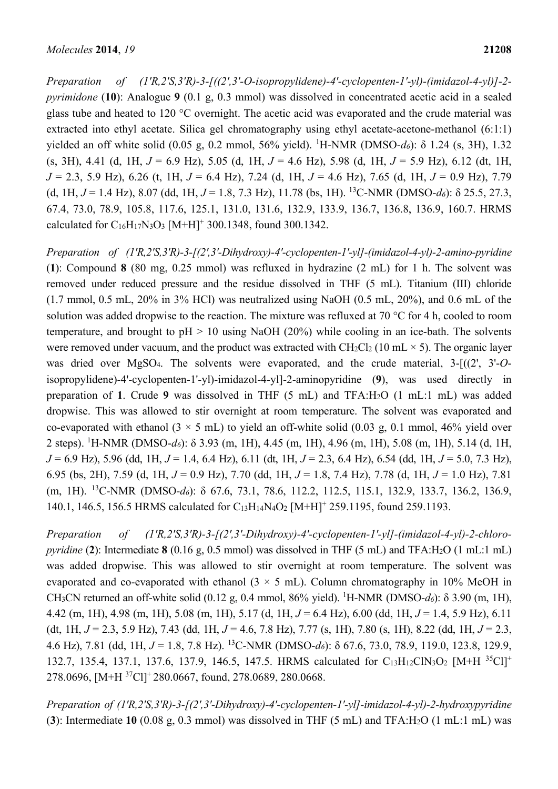*Preparation of (1′R,2′S,3′R)-3-[((2′,3′-O-isopropylidene)-4′-cyclopenten-1′-yl)-(imidazol-4-yl)]-2 pyrimidone* (**10**): Analogue **9** (0.1 g, 0.3 mmol) was dissolved in concentrated acetic acid in a sealed glass tube and heated to 120 °C overnight. The acetic acid was evaporated and the crude material was extracted into ethyl acetate. Silica gel chromatography using ethyl acetate-acetone-methanol (6:1:1) yielded an off white solid (0.05 g, 0.2 mmol, 56% yield). <sup>1</sup> H-NMR (DMSO-*d6*): δ 1.24 (s, 3H), 1.32 (s, 3H), 4.41 (d, 1H, *J* = 6.9 Hz), 5.05 (d, 1H, *J* = 4.6 Hz), 5.98 (d, 1H, *J* = 5.9 Hz), 6.12 (dt, 1H, *J* = 2.3, 5.9 Hz), 6.26 (t, 1H, *J* = 6.4 Hz), 7.24 (d, 1H, *J* = 4.6 Hz), 7.65 (d, 1H, *J* = 0.9 Hz), 7.79 (d, 1H,  $J = 1.4$  Hz), 8.07 (dd, 1H,  $J = 1.8$ , 7.3 Hz), 11.78 (bs, 1H). <sup>13</sup>C-NMR (DMSO- $d_6$ ):  $\delta$  25.5, 27.3, 67.4, 73.0, 78.9, 105.8, 117.6, 125.1, 131.0, 131.6, 132.9, 133.9, 136.7, 136.8, 136.9, 160.7. HRMS calculated for  $C_{16}H_{17}N_3O_3$  [M+H]<sup>+</sup> 300.1348, found 300.1342.

*Preparation of (1′R,2′S,3′R)-3-[(2ʹ,3ʹ-Dihydroxy)-4ʹ-cyclopenten-1ʹ-yl]-(imidazol-4-yl)-2-amino-pyridine*  (**1**): Compound **8** (80 mg, 0.25 mmol) was refluxed in hydrazine (2 mL) for 1 h. The solvent was removed under reduced pressure and the residue dissolved in THF (5 mL). Titanium (III) chloride (1.7 mmol, 0.5 mL, 20% in 3% HCl) was neutralized using NaOH (0.5 mL, 20%), and 0.6 mL of the solution was added dropwise to the reaction. The mixture was refluxed at 70 °C for 4 h, cooled to room temperature, and brought to  $pH > 10$  using NaOH (20%) while cooling in an ice-bath. The solvents were removed under vacuum, and the product was extracted with  $CH_2Cl_2$  (10 mL  $\times$  5). The organic layer was dried over MgSO4. The solvents were evaporated, and the crude material, 3-[((2', 3'-*O*isopropylidene)-4'-cyclopenten-1'-yl)-imidazol-4-yl]-2-aminopyridine (**9**), was used directly in preparation of **1**. Crude **9** was dissolved in THF (5 mL) and TFA:H2O (1 mL:1 mL) was added dropwise. This was allowed to stir overnight at room temperature. The solvent was evaporated and co-evaporated with ethanol  $(3 \times 5 \text{ mL})$  to yield an off-white solid  $(0.03 \text{ g}, 0.1 \text{ mmol}, 46\%$  yield over 2 steps). <sup>1</sup> H-NMR (DMSO-*d6*): δ 3.93 (m, 1H), 4.45 (m, 1H), 4.96 (m, 1H), 5.08 (m, 1H), 5.14 (d, 1H, *J* = 6.9 Hz), 5.96 (dd, 1H, *J* = 1.4, 6.4 Hz), 6.11 (dt, 1H, *J* = 2.3, 6.4 Hz), 6.54 (dd, 1H, *J* = 5.0, 7.3 Hz), 6.95 (bs, 2H), 7.59 (d, 1H, *J* = 0.9 Hz), 7.70 (dd, 1H, *J* = 1.8, 7.4 Hz), 7.78 (d, 1H, *J* = 1.0 Hz), 7.81 (m, 1H). 13C-NMR (DMSO-*d6*): δ 67.6, 73.1, 78.6, 112.2, 112.5, 115.1, 132.9, 133.7, 136.2, 136.9, 140.1, 146.5, 156.5 HRMS calculated for C13H14N4O2 [M+H]+ 259.1195, found 259.1193.

*Preparation of (1′R,2′S,3′R)-3-[(2ʹ,3ʹ-Dihydroxy)-4ʹ-cyclopenten-1ʹ-yl]-(imidazol-4-yl)-2-chloropyridine* (**2**): Intermediate **8** (0.16 g, 0.5 mmol) was dissolved in THF (5 mL) and TFA:H2O (1 mL:1 mL) was added dropwise. This was allowed to stir overnight at room temperature. The solvent was evaporated and co-evaporated with ethanol  $(3 \times 5 \text{ mL})$ . Column chromatography in 10% MeOH in CH3CN returned an off-white solid (0.12 g, 0.4 mmol, 86% yield). <sup>1</sup> H-NMR (DMSO-*d6*): δ 3.90 (m, 1H), 4.42 (m, 1H), 4.98 (m, 1H), 5.08 (m, 1H), 5.17 (d, 1H, *J* = 6.4 Hz), 6.00 (dd, 1H, *J* = 1.4, 5.9 Hz), 6.11 (dt, 1H,  $J = 2.3$ , 5.9 Hz), 7.43 (dd, 1H,  $J = 4.6$ , 7.8 Hz), 7.77 (s, 1H), 7.80 (s, 1H), 8.22 (dd, 1H,  $J = 2.3$ , 4.6 Hz), 7.81 (dd, 1H, *J* = 1.8, 7.8 Hz). 13C-NMR (DMSO-*d6*): δ 67.6, 73.0, 78.9, 119.0, 123.8, 129.9, 132.7, 135.4, 137.1, 137.6, 137.9, 146.5, 147.5. HRMS calculated for C<sub>13</sub>H<sub>12</sub>ClN<sub>3</sub>O<sub>2</sub> [M+H <sup>35</sup>Cl]<sup>+</sup> 278.0696, [M+H 37Cl]+ 280.0667, found, 278.0689, 280.0668.

*Preparation of (1′R,2′S,3′R)-3-[(2ʹ,3ʹ-Dihydroxy)-4ʹ-cyclopenten-1ʹ-yl]-imidazol-4-yl)-2-hydroxypyridine*  (**3**): Intermediate **10** (0.08 g, 0.3 mmol) was dissolved in THF (5 mL) and TFA:H2O (1 mL:1 mL) was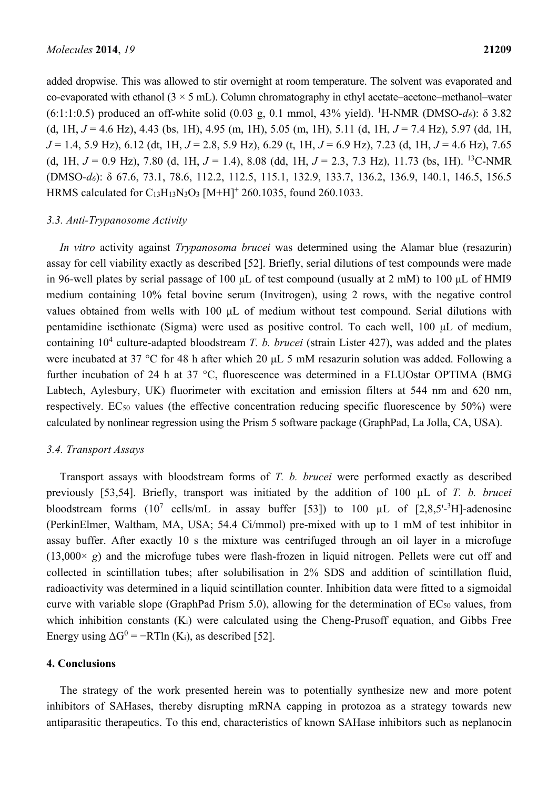added dropwise. This was allowed to stir overnight at room temperature. The solvent was evaporated and co-evaporated with ethanol  $(3 \times 5 \text{ mL})$ . Column chromatography in ethyl acetate–acetone–methanol–water (6:1:1:0.5) produced an off-white solid (0.03 g, 0.1 mmol, 43% yield). <sup>1</sup> H-NMR (DMSO-*d6*): δ 3.82 (d, 1H, *J* = 4.6 Hz), 4.43 (bs, 1H), 4.95 (m, 1H), 5.05 (m, 1H), 5.11 (d, 1H, *J* = 7.4 Hz), 5.97 (dd, 1H, *J* = 1.4, 5.9 Hz), 6.12 (dt, 1H, *J* = 2.8, 5.9 Hz), 6.29 (t, 1H, *J* = 6.9 Hz), 7.23 (d, 1H, *J* = 4.6 Hz), 7.65 (d, 1H,  $J = 0.9$  Hz), 7.80 (d, 1H,  $J = 1.4$ ), 8.08 (dd, 1H,  $J = 2.3$ , 7.3 Hz), 11.73 (bs, 1H). <sup>13</sup>C-NMR (DMSO-*d6*): δ 67.6, 73.1, 78.6, 112.2, 112.5, 115.1, 132.9, 133.7, 136.2, 136.9, 140.1, 146.5, 156.5 HRMS calculated for C13H13N3O3 [M+H]+ 260.1035, found 260.1033.

## *3.3. Anti-Trypanosome Activity*

*In vitro* activity against *Trypanosoma brucei* was determined using the Alamar blue (resazurin) assay for cell viability exactly as described [52]. Briefly, serial dilutions of test compounds were made in 96-well plates by serial passage of 100 μL of test compound (usually at 2 mM) to 100 μL of HMI9 medium containing 10% fetal bovine serum (Invitrogen), using 2 rows, with the negative control values obtained from wells with 100 μL of medium without test compound. Serial dilutions with pentamidine isethionate (Sigma) were used as positive control. To each well, 100 μL of medium, containing 10<sup>4</sup> culture-adapted bloodstream *T. b. brucei* (strain Lister 427), was added and the plates were incubated at 37 °C for 48 h after which 20 μL 5 mM resazurin solution was added. Following a further incubation of 24 h at 37 °C, fluorescence was determined in a FLUOstar OPTIMA (BMG Labtech, Aylesbury, UK) fluorimeter with excitation and emission filters at 544 nm and 620 nm, respectively. EC<sub>50</sub> values (the effective concentration reducing specific fluorescence by 50%) were calculated by nonlinear regression using the Prism 5 software package (GraphPad, La Jolla, CA, USA).

### *3.4. Transport Assays*

Transport assays with bloodstream forms of *T. b. brucei* were performed exactly as described previously [53,54]. Briefly, transport was initiated by the addition of 100 µL of *T. b. brucei* bloodstream forms  $(10^7 \text{ cells/mL}$  in assay buffer [53]) to 100  $\mu$ L of [2,8,5'-<sup>3</sup>H]-adenosine (PerkinElmer, Waltham, MA, USA; 54.4 Ci/mmol) pre-mixed with up to 1 mM of test inhibitor in assay buffer. After exactly 10 s the mixture was centrifuged through an oil layer in a microfuge  $(13,000\times g)$  and the microfuge tubes were flash-frozen in liquid nitrogen. Pellets were cut off and collected in scintillation tubes; after solubilisation in 2% SDS and addition of scintillation fluid, radioactivity was determined in a liquid scintillation counter. Inhibition data were fitted to a sigmoidal curve with variable slope (GraphPad Prism 5.0), allowing for the determination of  $EC_{50}$  values, from which inhibition constants (K<sub>i</sub>) were calculated using the Cheng-Prusoff equation, and Gibbs Free Energy using  $\Delta G^0$  = -RTln (K<sub>i</sub>), as described [52].

## **4. Conclusions**

The strategy of the work presented herein was to potentially synthesize new and more potent inhibitors of SAHases, thereby disrupting mRNA capping in protozoa as a strategy towards new antiparasitic therapeutics. To this end, characteristics of known SAHase inhibitors such as neplanocin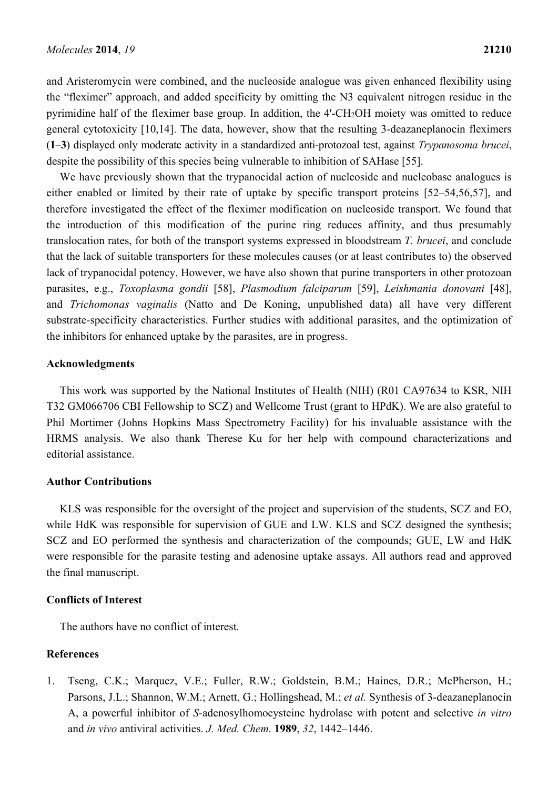and Aristeromycin were combined, and the nucleoside analogue was given enhanced flexibility using the "fleximer" approach, and added specificity by omitting the N3 equivalent nitrogen residue in the pyrimidine half of the fleximer base group. In addition, the 4'-CH2OH moiety was omitted to reduce general cytotoxicity [10,14]. The data, however, show that the resulting 3-deazaneplanocin fleximers (**1**–**3**) displayed only moderate activity in a standardized anti-protozoal test, against *Trypanosoma brucei*, despite the possibility of this species being vulnerable to inhibition of SAHase [55].

We have previously shown that the trypanocidal action of nucleoside and nucleobase analogues is either enabled or limited by their rate of uptake by specific transport proteins [52–54,56,57], and therefore investigated the effect of the fleximer modification on nucleoside transport. We found that the introduction of this modification of the purine ring reduces affinity, and thus presumably translocation rates, for both of the transport systems expressed in bloodstream *T. brucei*, and conclude that the lack of suitable transporters for these molecules causes (or at least contributes to) the observed lack of trypanocidal potency. However, we have also shown that purine transporters in other protozoan parasites, e.g., *Toxoplasma gondii* [58], *Plasmodium falciparum* [59], *Leishmania donovani* [48], and *Trichomonas vaginalis* (Natto and De Koning, unpublished data) all have very different substrate-specificity characteristics. Further studies with additional parasites, and the optimization of the inhibitors for enhanced uptake by the parasites, are in progress.

# **Acknowledgments**

This work was supported by the National Institutes of Health (NIH) (R01 CA97634 to KSR, NIH T32 GM066706 CBI Fellowship to SCZ) and Wellcome Trust (grant to HPdK). We are also grateful to Phil Mortimer (Johns Hopkins Mass Spectrometry Facility) for his invaluable assistance with the HRMS analysis. We also thank Therese Ku for her help with compound characterizations and editorial assistance.

#### **Author Contributions**

KLS was responsible for the oversight of the project and supervision of the students, SCZ and EO, while HdK was responsible for supervision of GUE and LW. KLS and SCZ designed the synthesis; SCZ and EO performed the synthesis and characterization of the compounds; GUE, LW and HdK were responsible for the parasite testing and adenosine uptake assays. All authors read and approved the final manuscript.

#### **Conflicts of Interest**

The authors have no conflict of interest.

# **References**

1. Tseng, C.K.; Marquez, V.E.; Fuller, R.W.; Goldstein, B.M.; Haines, D.R.; McPherson, H.; Parsons, J.L.; Shannon, W.M.; Arnett, G.; Hollingshead, M.; *et al.* Synthesis of 3-deazaneplanocin A, a powerful inhibitor of *S*-adenosylhomocysteine hydrolase with potent and selective *in vitro* and *in vivo* antiviral activities. *J. Med. Chem.* **1989**, *32*, 1442–1446.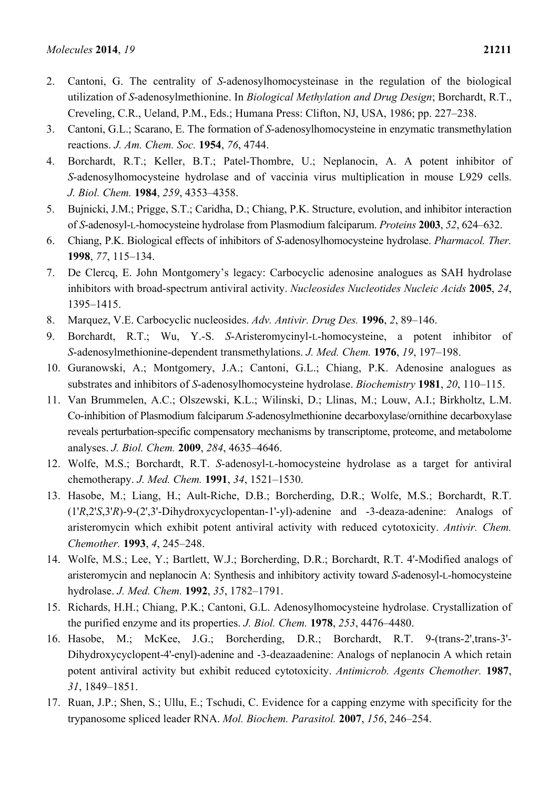- 2. Cantoni, G. The centrality of *S*-adenosylhomocysteinase in the regulation of the biological utilization of *S*-adenosylmethionine. In *Biological Methylation and Drug Design*; Borchardt, R.T., Creveling, C.R., Ueland, P.M., Eds.; Humana Press: Clifton, NJ, USA, 1986; pp. 227–238.
- 3. Cantoni, G.L.; Scarano, E. The formation of *S*-adenosylhomocysteine in enzymatic transmethylation reactions. *J. Am. Chem. Soc.* **1954**, *76*, 4744.
- 4. Borchardt, R.T.; Keller, B.T.; Patel-Thombre, U.; Neplanocin, A. A potent inhibitor of *S*-adenosylhomocysteine hydrolase and of vaccinia virus multiplication in mouse L929 cells. *J. Biol. Chem.* **1984**, *259*, 4353–4358.
- 5. Bujnicki, J.M.; Prigge, S.T.; Caridha, D.; Chiang, P.K. Structure, evolution, and inhibitor interaction of *S*-adenosyl-L-homocysteine hydrolase from Plasmodium falciparum. *Proteins* **2003**, *52*, 624–632.
- 6. Chiang, P.K. Biological effects of inhibitors of *S*-adenosylhomocysteine hydrolase. *Pharmacol. Ther.*  **1998**, *77*, 115–134.
- 7. De Clercq, E. John Montgomery's legacy: Carbocyclic adenosine analogues as SAH hydrolase inhibitors with broad-spectrum antiviral activity. *Nucleosides Nucleotides Nucleic Acids* **2005**, *24*, 1395–1415.
- 8. Marquez, V.E. Carbocyclic nucleosides. *Adv. Antivir. Drug Des.* **1996**, *2*, 89–146.
- 9. Borchardt, R.T.; Wu, Y.-S. *S*-Aristeromycinyl-L-homocysteine, a potent inhibitor of *S*-adenosylmethionine-dependent transmethylations. *J. Med. Chem.* **1976**, *19*, 197–198.
- 10. Guranowski, A.; Montgomery, J.A.; Cantoni, G.L.; Chiang, P.K. Adenosine analogues as substrates and inhibitors of *S*-adenosylhomocysteine hydrolase. *Biochemistry* **1981**, *20*, 110–115.
- 11. Van Brummelen, A.C.; Olszewski, K.L.; Wilinski, D.; Llinas, M.; Louw, A.I.; Birkholtz, L.M. Co-inhibition of Plasmodium falciparum *S*-adenosylmethionine decarboxylase/ornithine decarboxylase reveals perturbation-specific compensatory mechanisms by transcriptome, proteome, and metabolome analyses. *J. Biol. Chem.* **2009**, *284*, 4635–4646.
- 12. Wolfe, M.S.; Borchardt, R.T. *S*-adenosyl-L-homocysteine hydrolase as a target for antiviral chemotherapy. *J. Med. Chem.* **1991**, *34*, 1521–1530.
- 13. Hasobe, M.; Liang, H.; Ault-Riche, D.B.; Borcherding, D.R.; Wolfe, M.S.; Borchardt, R.T. (1'*R*,2'*S*,3'*R*)-9-(2',3'-Dihydroxycyclopentan-1'-yl)-adenine and -3-deaza-adenine: Analogs of aristeromycin which exhibit potent antiviral activity with reduced cytotoxicity. *Antivir. Chem. Chemother.* **1993**, *4*, 245–248.
- 14. Wolfe, M.S.; Lee, Y.; Bartlett, W.J.; Borcherding, D.R.; Borchardt, R.T. 4'-Modified analogs of aristeromycin and neplanocin A: Synthesis and inhibitory activity toward *S*-adenosyl-L-homocysteine hydrolase. *J. Med. Chem.* **1992**, *35*, 1782–1791.
- 15. Richards, H.H.; Chiang, P.K.; Cantoni, G.L. Adenosylhomocysteine hydrolase. Crystallization of the purified enzyme and its properties. *J. Biol. Chem.* **1978**, *253*, 4476–4480.
- 16. Hasobe, M.; McKee, J.G.; Borcherding, D.R.; Borchardt, R.T. 9-(trans-2',trans-3'- Dihydroxycyclopent-4'-enyl)-adenine and -3-deazaadenine: Analogs of neplanocin A which retain potent antiviral activity but exhibit reduced cytotoxicity. *Antimicrob. Agents Chemother.* **1987**, *31*, 1849–1851.
- 17. Ruan, J.P.; Shen, S.; Ullu, E.; Tschudi, C. Evidence for a capping enzyme with specificity for the trypanosome spliced leader RNA. *Mol. Biochem. Parasitol.* **2007**, *156*, 246–254.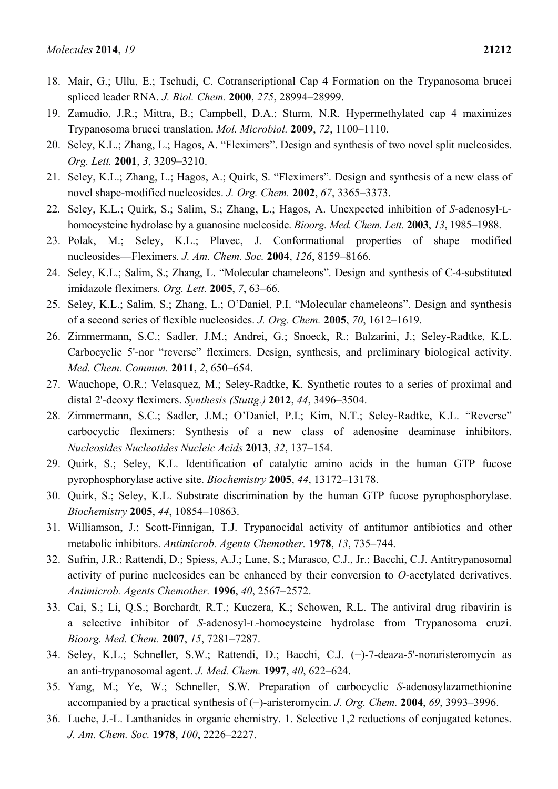- 18. Mair, G.; Ullu, E.; Tschudi, C. Cotranscriptional Cap 4 Formation on the Trypanosoma brucei spliced leader RNA. *J. Biol. Chem.* **2000**, *275*, 28994–28999.
- 19. Zamudio, J.R.; Mittra, B.; Campbell, D.A.; Sturm, N.R. Hypermethylated cap 4 maximizes Trypanosoma brucei translation. *Mol. Microbiol.* **2009**, *72*, 1100–1110.
- 20. Seley, K.L.; Zhang, L.; Hagos, A. "Fleximers". Design and synthesis of two novel split nucleosides. *Org. Lett.* **2001**, *3*, 3209–3210.
- 21. Seley, K.L.; Zhang, L.; Hagos, A.; Quirk, S. "Fleximers". Design and synthesis of a new class of novel shape-modified nucleosides. *J. Org. Chem.* **2002**, *67*, 3365–3373.
- 22. Seley, K.L.; Quirk, S.; Salim, S.; Zhang, L.; Hagos, A. Unexpected inhibition of *S*-adenosyl-Lhomocysteine hydrolase by a guanosine nucleoside. *Bioorg. Med. Chem. Lett.* **2003**, *13*, 1985–1988.
- 23. Polak, M.; Seley, K.L.; Plavec, J. Conformational properties of shape modified nucleosides—Fleximers. *J. Am. Chem. Soc.* **2004**, *126*, 8159–8166.
- 24. Seley, K.L.; Salim, S.; Zhang, L. "Molecular chameleons". Design and synthesis of C-4-substituted imidazole fleximers. *Org. Lett.* **2005**, *7*, 63–66.
- 25. Seley, K.L.; Salim, S.; Zhang, L.; O'Daniel, P.I. "Molecular chameleons". Design and synthesis of a second series of flexible nucleosides. *J. Org. Chem.* **2005**, *70*, 1612–1619.
- 26. Zimmermann, S.C.; Sadler, J.M.; Andrei, G.; Snoeck, R.; Balzarini, J.; Seley-Radtke, K.L. Carbocyclic 5'-nor "reverse" fleximers. Design, synthesis, and preliminary biological activity. *Med. Chem. Commun.* **2011**, *2*, 650–654.
- 27. Wauchope, O.R.; Velasquez, M.; Seley-Radtke, K. Synthetic routes to a series of proximal and distal 2'-deoxy fleximers. *Synthesis (Stuttg.)* **2012**, *44*, 3496–3504.
- 28. Zimmermann, S.C.; Sadler, J.M.; O'Daniel, P.I.; Kim, N.T.; Seley-Radtke, K.L. "Reverse" carbocyclic fleximers: Synthesis of a new class of adenosine deaminase inhibitors. *Nucleosides Nucleotides Nucleic Acids* **2013**, *32*, 137–154.
- 29. Quirk, S.; Seley, K.L. Identification of catalytic amino acids in the human GTP fucose pyrophosphorylase active site. *Biochemistry* **2005**, *44*, 13172–13178.
- 30. Quirk, S.; Seley, K.L. Substrate discrimination by the human GTP fucose pyrophosphorylase. *Biochemistry* **2005**, *44*, 10854–10863.
- 31. Williamson, J.; Scott-Finnigan, T.J. Trypanocidal activity of antitumor antibiotics and other metabolic inhibitors. *Antimicrob. Agents Chemother.* **1978**, *13*, 735–744.
- 32. Sufrin, J.R.; Rattendi, D.; Spiess, A.J.; Lane, S.; Marasco, C.J., Jr.; Bacchi, C.J. Antitrypanosomal activity of purine nucleosides can be enhanced by their conversion to *O*-acetylated derivatives. *Antimicrob. Agents Chemother.* **1996**, *40*, 2567–2572.
- 33. Cai, S.; Li, Q.S.; Borchardt, R.T.; Kuczera, K.; Schowen, R.L. The antiviral drug ribavirin is a selective inhibitor of *S*-adenosyl-L-homocysteine hydrolase from Trypanosoma cruzi. *Bioorg. Med. Chem.* **2007**, *15*, 7281–7287.
- 34. Seley, K.L.; Schneller, S.W.; Rattendi, D.; Bacchi, C.J. (+)-7-deaza-5'-noraristeromycin as an anti-trypanosomal agent. *J. Med. Chem.* **1997**, *40*, 622–624.
- 35. Yang, M.; Ye, W.; Schneller, S.W. Preparation of carbocyclic *S*-adenosylazamethionine accompanied by a practical synthesis of (−)-aristeromycin. *J. Org. Chem.* **2004**, *69*, 3993–3996.
- 36. Luche, J.-L. Lanthanides in organic chemistry. 1. Selective 1,2 reductions of conjugated ketones. *J. Am. Chem. Soc.* **1978**, *100*, 2226–2227.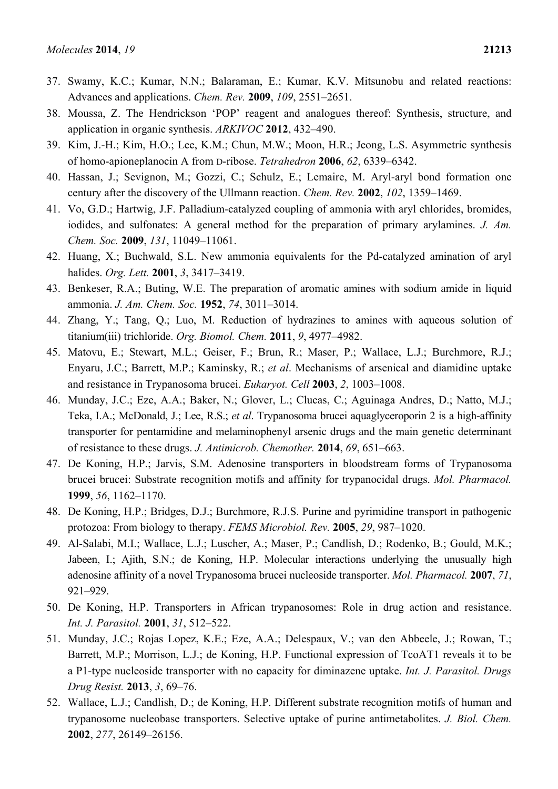- 37. Swamy, K.C.; Kumar, N.N.; Balaraman, E.; Kumar, K.V. Mitsunobu and related reactions: Advances and applications. *Chem. Rev.* **2009**, *109*, 2551–2651.
- 38. Moussa, Z. The Hendrickson 'POP' reagent and analogues thereof: Synthesis, structure, and application in organic synthesis. *ARKIVOC* **2012**, 432–490.
- 39. Kim, J.-H.; Kim, H.O.; Lee, K.M.; Chun, M.W.; Moon, H.R.; Jeong, L.S. Asymmetric synthesis of homo-apioneplanocin A from D-ribose. *Tetrahedron* **2006**, *62*, 6339–6342.
- 40. Hassan, J.; Sevignon, M.; Gozzi, C.; Schulz, E.; Lemaire, M. Aryl-aryl bond formation one century after the discovery of the Ullmann reaction. *Chem. Rev.* **2002**, *102*, 1359–1469.
- 41. Vo, G.D.; Hartwig, J.F. Palladium-catalyzed coupling of ammonia with aryl chlorides, bromides, iodides, and sulfonates: A general method for the preparation of primary arylamines. *J. Am. Chem. Soc.* **2009**, *131*, 11049–11061.
- 42. Huang, X.; Buchwald, S.L. New ammonia equivalents for the Pd-catalyzed amination of aryl halides. *Org. Lett.* **2001**, *3*, 3417–3419.
- 43. Benkeser, R.A.; Buting, W.E. The preparation of aromatic amines with sodium amide in liquid ammonia. *J. Am. Chem. Soc.* **1952**, *74*, 3011–3014.
- 44. Zhang, Y.; Tang, Q.; Luo, M. Reduction of hydrazines to amines with aqueous solution of titanium(iii) trichloride. *Org. Biomol. Chem.* **2011**, *9*, 4977–4982.
- 45. Matovu, E.; Stewart, M.L.; Geiser, F.; Brun, R.; Maser, P.; Wallace, L.J.; Burchmore, R.J.; Enyaru, J.C.; Barrett, M.P.; Kaminsky, R.; *et al*. Mechanisms of arsenical and diamidine uptake and resistance in Trypanosoma brucei. *Eukaryot. Cell* **2003**, *2*, 1003–1008.
- 46. Munday, J.C.; Eze, A.A.; Baker, N.; Glover, L.; Clucas, C.; Aguinaga Andres, D.; Natto, M.J.; Teka, I.A.; McDonald, J.; Lee, R.S.; *et al*. Trypanosoma brucei aquaglyceroporin 2 is a high-affinity transporter for pentamidine and melaminophenyl arsenic drugs and the main genetic determinant of resistance to these drugs. *J. Antimicrob. Chemother.* **2014**, *69*, 651–663.
- 47. De Koning, H.P.; Jarvis, S.M. Adenosine transporters in bloodstream forms of Trypanosoma brucei brucei: Substrate recognition motifs and affinity for trypanocidal drugs. *Mol. Pharmacol.*  **1999**, *56*, 1162–1170.
- 48. De Koning, H.P.; Bridges, D.J.; Burchmore, R.J.S. Purine and pyrimidine transport in pathogenic protozoa: From biology to therapy. *FEMS Microbiol. Rev.* **2005**, *29*, 987–1020.
- 49. Al-Salabi, M.I.; Wallace, L.J.; Luscher, A.; Maser, P.; Candlish, D.; Rodenko, B.; Gould, M.K.; Jabeen, I.; Ajith, S.N.; de Koning, H.P. Molecular interactions underlying the unusually high adenosine affinity of a novel Trypanosoma brucei nucleoside transporter. *Mol. Pharmacol.* **2007**, *71*, 921–929.
- 50. De Koning, H.P. Transporters in African trypanosomes: Role in drug action and resistance. *Int. J. Parasitol.* **2001**, *31*, 512–522.
- 51. Munday, J.C.; Rojas Lopez, K.E.; Eze, A.A.; Delespaux, V.; van den Abbeele, J.; Rowan, T.; Barrett, M.P.; Morrison, L.J.; de Koning, H.P. Functional expression of TcoAT1 reveals it to be a P1-type nucleoside transporter with no capacity for diminazene uptake. *Int. J. Parasitol. Drugs Drug Resist.* **2013**, *3*, 69–76.
- 52. Wallace, L.J.; Candlish, D.; de Koning, H.P. Different substrate recognition motifs of human and trypanosome nucleobase transporters. Selective uptake of purine antimetabolites. *J. Biol. Chem.*  **2002**, *277*, 26149–26156.